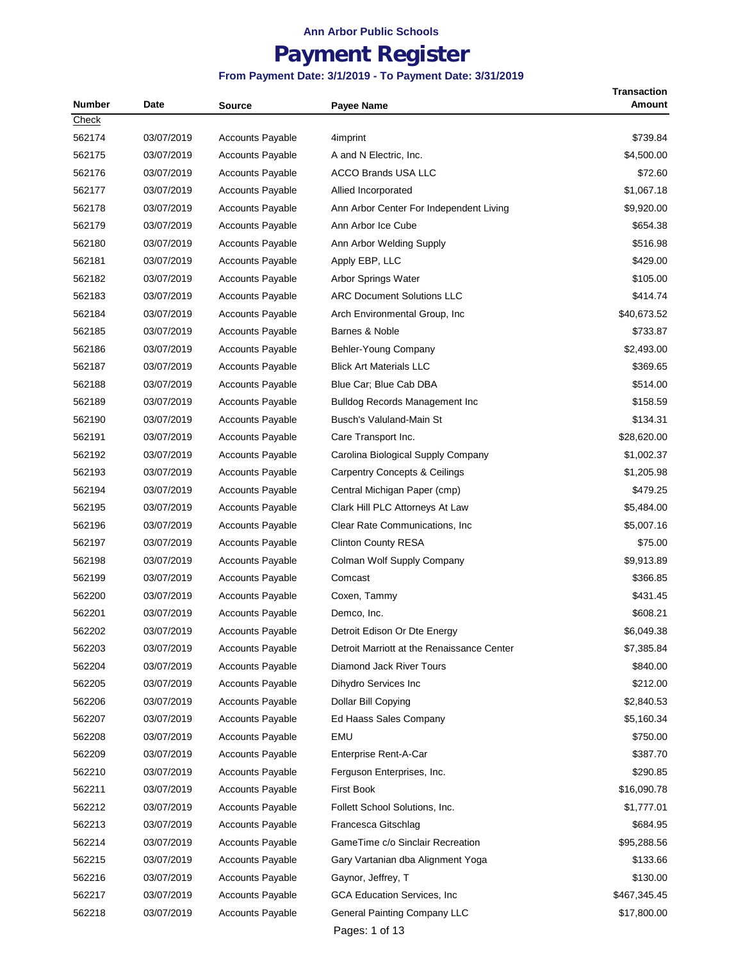# **Payment Register**

#### **From Payment Date: 3/1/2019 - To Payment Date: 3/31/2019**

| <b>Number</b> | Date       | Source                  | <b>Payee Name</b>                          | <b>Transaction</b><br>Amount |
|---------------|------------|-------------------------|--------------------------------------------|------------------------------|
| Check         |            |                         |                                            |                              |
| 562174        | 03/07/2019 | <b>Accounts Payable</b> | 4imprint                                   | \$739.84                     |
| 562175        | 03/07/2019 | <b>Accounts Payable</b> | A and N Electric, Inc.                     | \$4,500.00                   |
| 562176        | 03/07/2019 | <b>Accounts Payable</b> | <b>ACCO Brands USA LLC</b>                 | \$72.60                      |
| 562177        | 03/07/2019 | Accounts Payable        | Allied Incorporated                        | \$1,067.18                   |
| 562178        | 03/07/2019 | <b>Accounts Payable</b> | Ann Arbor Center For Independent Living    | \$9,920.00                   |
| 562179        | 03/07/2019 | <b>Accounts Payable</b> | Ann Arbor Ice Cube                         | \$654.38                     |
| 562180        | 03/07/2019 | <b>Accounts Payable</b> | Ann Arbor Welding Supply                   | \$516.98                     |
| 562181        | 03/07/2019 | <b>Accounts Payable</b> | Apply EBP, LLC                             | \$429.00                     |
| 562182        | 03/07/2019 | <b>Accounts Payable</b> | Arbor Springs Water                        | \$105.00                     |
| 562183        | 03/07/2019 | <b>Accounts Payable</b> | <b>ARC Document Solutions LLC</b>          | \$414.74                     |
| 562184        | 03/07/2019 | <b>Accounts Payable</b> | Arch Environmental Group, Inc.             | \$40,673.52                  |
| 562185        | 03/07/2019 | <b>Accounts Payable</b> | Barnes & Noble                             | \$733.87                     |
| 562186        | 03/07/2019 | <b>Accounts Payable</b> | Behler-Young Company                       | \$2,493.00                   |
| 562187        | 03/07/2019 | <b>Accounts Payable</b> | <b>Blick Art Materials LLC</b>             | \$369.65                     |
| 562188        | 03/07/2019 | <b>Accounts Payable</b> | Blue Car; Blue Cab DBA                     | \$514.00                     |
| 562189        | 03/07/2019 | <b>Accounts Payable</b> | <b>Bulldog Records Management Inc.</b>     | \$158.59                     |
| 562190        | 03/07/2019 | <b>Accounts Payable</b> | Busch's Valuland-Main St                   | \$134.31                     |
| 562191        | 03/07/2019 | <b>Accounts Payable</b> | Care Transport Inc.                        | \$28,620.00                  |
| 562192        | 03/07/2019 | <b>Accounts Payable</b> | Carolina Biological Supply Company         | \$1,002.37                   |
| 562193        | 03/07/2019 | <b>Accounts Payable</b> | <b>Carpentry Concepts &amp; Ceilings</b>   | \$1,205.98                   |
| 562194        | 03/07/2019 | <b>Accounts Payable</b> | Central Michigan Paper (cmp)               | \$479.25                     |
| 562195        | 03/07/2019 | <b>Accounts Payable</b> | Clark Hill PLC Attorneys At Law            | \$5,484.00                   |
| 562196        | 03/07/2019 | <b>Accounts Payable</b> | Clear Rate Communications, Inc.            | \$5,007.16                   |
| 562197        | 03/07/2019 | <b>Accounts Payable</b> | <b>Clinton County RESA</b>                 | \$75.00                      |
| 562198        | 03/07/2019 | <b>Accounts Payable</b> | Colman Wolf Supply Company                 | \$9,913.89                   |
| 562199        | 03/07/2019 | <b>Accounts Payable</b> | Comcast                                    | \$366.85                     |
| 562200        | 03/07/2019 | <b>Accounts Payable</b> | Coxen, Tammy                               | \$431.45                     |
| 562201        | 03/07/2019 | <b>Accounts Payable</b> | Demco, Inc.                                | \$608.21                     |
| 562202        | 03/07/2019 | <b>Accounts Payable</b> | Detroit Edison Or Dte Energy               | \$6,049.38                   |
| 562203        | 03/07/2019 | <b>Accounts Payable</b> | Detroit Marriott at the Renaissance Center | \$7,385.84                   |
| 562204        | 03/07/2019 | <b>Accounts Payable</b> | Diamond Jack River Tours                   | \$840.00                     |
| 562205        | 03/07/2019 | <b>Accounts Payable</b> | Dihydro Services Inc                       | \$212.00                     |
| 562206        | 03/07/2019 | <b>Accounts Payable</b> | Dollar Bill Copying                        | \$2,840.53                   |
| 562207        | 03/07/2019 | <b>Accounts Payable</b> | Ed Haass Sales Company                     | \$5,160.34                   |
| 562208        | 03/07/2019 | Accounts Payable        | EMU                                        | \$750.00                     |
| 562209        | 03/07/2019 | <b>Accounts Payable</b> | Enterprise Rent-A-Car                      | \$387.70                     |
| 562210        | 03/07/2019 | <b>Accounts Payable</b> | Ferguson Enterprises, Inc.                 | \$290.85                     |
| 562211        | 03/07/2019 | <b>Accounts Payable</b> | First Book                                 | \$16,090.78                  |
| 562212        | 03/07/2019 | <b>Accounts Payable</b> | Follett School Solutions, Inc.             | \$1,777.01                   |
| 562213        | 03/07/2019 | <b>Accounts Payable</b> | Francesca Gitschlag                        | \$684.95                     |
| 562214        | 03/07/2019 | <b>Accounts Payable</b> | GameTime c/o Sinclair Recreation           | \$95,288.56                  |
| 562215        | 03/07/2019 | <b>Accounts Payable</b> | Gary Vartanian dba Alignment Yoga          | \$133.66                     |
| 562216        | 03/07/2019 | <b>Accounts Payable</b> | Gaynor, Jeffrey, T                         | \$130.00                     |
| 562217        | 03/07/2019 | <b>Accounts Payable</b> | GCA Education Services, Inc                | \$467,345.45                 |
| 562218        | 03/07/2019 | Accounts Payable        | <b>General Painting Company LLC</b>        | \$17,800.00                  |
|               |            |                         |                                            |                              |

Pages: 1 of 13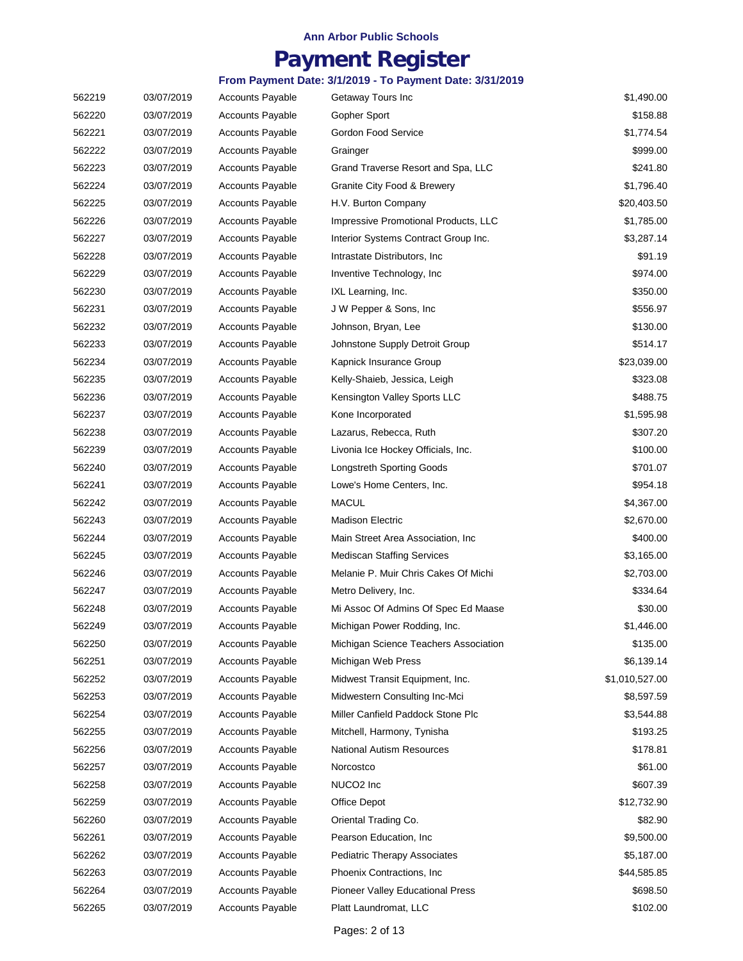## **Payment Register**

#### **From Payment Date: 3/1/2019 - To Payment Date: 3/31/2019**

| 562219 | 03/07/2019 | <b>Accounts Payable</b> | Getaway Tours Inc                       | \$1,490.00     |
|--------|------------|-------------------------|-----------------------------------------|----------------|
| 562220 | 03/07/2019 | <b>Accounts Payable</b> | Gopher Sport                            | \$158.88       |
| 562221 | 03/07/2019 | <b>Accounts Payable</b> | Gordon Food Service                     | \$1,774.54     |
| 562222 | 03/07/2019 | <b>Accounts Payable</b> | Grainger                                | \$999.00       |
| 562223 | 03/07/2019 | <b>Accounts Payable</b> | Grand Traverse Resort and Spa, LLC      | \$241.80       |
| 562224 | 03/07/2019 | <b>Accounts Payable</b> | Granite City Food & Brewery             | \$1,796.40     |
| 562225 | 03/07/2019 | <b>Accounts Payable</b> | H.V. Burton Company                     | \$20,403.50    |
| 562226 | 03/07/2019 | <b>Accounts Payable</b> | Impressive Promotional Products, LLC    | \$1,785.00     |
| 562227 | 03/07/2019 | <b>Accounts Payable</b> | Interior Systems Contract Group Inc.    | \$3,287.14     |
| 562228 | 03/07/2019 | <b>Accounts Payable</b> | Intrastate Distributors, Inc.           | \$91.19        |
| 562229 | 03/07/2019 | <b>Accounts Payable</b> | Inventive Technology, Inc.              | \$974.00       |
| 562230 | 03/07/2019 | <b>Accounts Payable</b> | IXL Learning, Inc.                      | \$350.00       |
| 562231 | 03/07/2019 | <b>Accounts Payable</b> | J W Pepper & Sons, Inc.                 | \$556.97       |
| 562232 | 03/07/2019 | <b>Accounts Payable</b> | Johnson, Bryan, Lee                     | \$130.00       |
| 562233 | 03/07/2019 | <b>Accounts Payable</b> | Johnstone Supply Detroit Group          | \$514.17       |
| 562234 | 03/07/2019 | <b>Accounts Payable</b> | Kapnick Insurance Group                 | \$23,039.00    |
| 562235 | 03/07/2019 | <b>Accounts Payable</b> | Kelly-Shaieb, Jessica, Leigh            | \$323.08       |
| 562236 | 03/07/2019 | <b>Accounts Payable</b> | Kensington Valley Sports LLC            | \$488.75       |
| 562237 | 03/07/2019 | <b>Accounts Payable</b> | Kone Incorporated                       | \$1,595.98     |
| 562238 | 03/07/2019 | <b>Accounts Payable</b> | Lazarus, Rebecca, Ruth                  | \$307.20       |
| 562239 | 03/07/2019 | <b>Accounts Payable</b> | Livonia Ice Hockey Officials, Inc.      | \$100.00       |
| 562240 | 03/07/2019 | <b>Accounts Payable</b> | <b>Longstreth Sporting Goods</b>        | \$701.07       |
| 562241 | 03/07/2019 | <b>Accounts Payable</b> | Lowe's Home Centers, Inc.               | \$954.18       |
| 562242 | 03/07/2019 | <b>Accounts Payable</b> | <b>MACUL</b>                            | \$4,367.00     |
| 562243 | 03/07/2019 | <b>Accounts Payable</b> | <b>Madison Electric</b>                 | \$2,670.00     |
| 562244 | 03/07/2019 | <b>Accounts Payable</b> | Main Street Area Association, Inc.      | \$400.00       |
| 562245 | 03/07/2019 | <b>Accounts Payable</b> | <b>Mediscan Staffing Services</b>       | \$3,165.00     |
| 562246 | 03/07/2019 | Accounts Payable        | Melanie P. Muir Chris Cakes Of Michi    | \$2,703.00     |
| 562247 | 03/07/2019 | Accounts Payable        | Metro Delivery, Inc.                    | \$334.64       |
| 562248 | 03/07/2019 | <b>Accounts Payable</b> | Mi Assoc Of Admins Of Spec Ed Maase     | \$30.00        |
| 562249 | 03/07/2019 | <b>Accounts Payable</b> | Michigan Power Rodding, Inc.            | \$1,446.00     |
| 562250 | 03/07/2019 | <b>Accounts Payable</b> | Michigan Science Teachers Association   | \$135.00       |
| 562251 | 03/07/2019 | <b>Accounts Payable</b> | Michigan Web Press                      | \$6,139.14     |
| 562252 | 03/07/2019 | <b>Accounts Payable</b> | Midwest Transit Equipment, Inc.         | \$1,010,527.00 |
| 562253 | 03/07/2019 | <b>Accounts Payable</b> | Midwestern Consulting Inc-Mci           | \$8,597.59     |
| 562254 | 03/07/2019 | <b>Accounts Payable</b> | Miller Canfield Paddock Stone Plc       | \$3,544.88     |
| 562255 | 03/07/2019 | <b>Accounts Payable</b> | Mitchell, Harmony, Tynisha              | \$193.25       |
| 562256 | 03/07/2019 | <b>Accounts Payable</b> | <b>National Autism Resources</b>        | \$178.81       |
| 562257 | 03/07/2019 | <b>Accounts Payable</b> | Norcostco                               | \$61.00        |
| 562258 | 03/07/2019 | <b>Accounts Payable</b> | NUCO <sub>2</sub> Inc                   | \$607.39       |
| 562259 | 03/07/2019 | <b>Accounts Payable</b> | Office Depot                            | \$12,732.90    |
| 562260 | 03/07/2019 | <b>Accounts Payable</b> | Oriental Trading Co.                    | \$82.90        |
| 562261 | 03/07/2019 | <b>Accounts Payable</b> | Pearson Education, Inc.                 | \$9,500.00     |
| 562262 | 03/07/2019 | <b>Accounts Payable</b> | <b>Pediatric Therapy Associates</b>     | \$5,187.00     |
| 562263 | 03/07/2019 | <b>Accounts Payable</b> | Phoenix Contractions, Inc.              | \$44,585.85    |
| 562264 | 03/07/2019 | <b>Accounts Payable</b> | <b>Pioneer Valley Educational Press</b> | \$698.50       |
| 562265 | 03/07/2019 | Accounts Payable        | Platt Laundromat, LLC                   | \$102.00       |

Pages: 2 of 13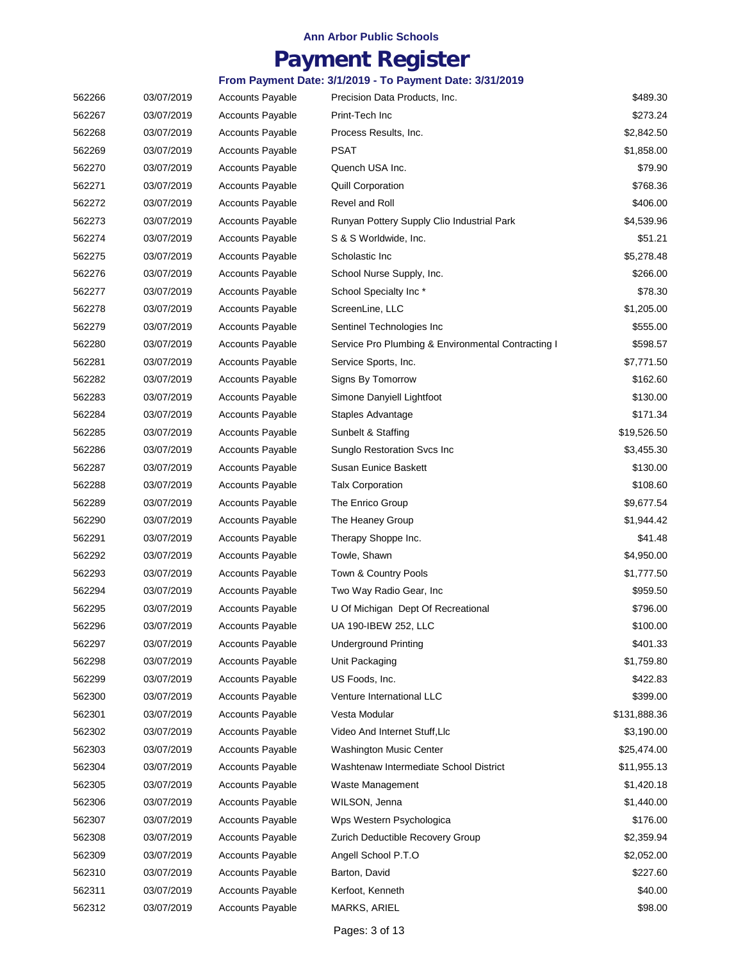## **Payment Register**

| 562266 | 03/07/2019 | <b>Accounts Payable</b> | Precision Data Products, Inc.                      | \$489.30     |
|--------|------------|-------------------------|----------------------------------------------------|--------------|
| 562267 | 03/07/2019 | <b>Accounts Payable</b> | Print-Tech Inc                                     | \$273.24     |
| 562268 | 03/07/2019 | <b>Accounts Payable</b> | Process Results, Inc.                              | \$2,842.50   |
| 562269 | 03/07/2019 | <b>Accounts Payable</b> | PSAT                                               | \$1,858.00   |
| 562270 | 03/07/2019 | <b>Accounts Payable</b> | Quench USA Inc.                                    | \$79.90      |
| 562271 | 03/07/2019 | <b>Accounts Payable</b> | <b>Quill Corporation</b>                           | \$768.36     |
| 562272 | 03/07/2019 | <b>Accounts Payable</b> | Revel and Roll                                     | \$406.00     |
| 562273 | 03/07/2019 | <b>Accounts Payable</b> | Runyan Pottery Supply Clio Industrial Park         | \$4,539.96   |
| 562274 | 03/07/2019 | <b>Accounts Payable</b> | S & S Worldwide, Inc.                              | \$51.21      |
| 562275 | 03/07/2019 | <b>Accounts Payable</b> | Scholastic Inc                                     | \$5,278.48   |
| 562276 | 03/07/2019 | <b>Accounts Payable</b> | School Nurse Supply, Inc.                          | \$266.00     |
| 562277 | 03/07/2019 | <b>Accounts Payable</b> | School Specialty Inc*                              | \$78.30      |
| 562278 | 03/07/2019 | <b>Accounts Payable</b> | ScreenLine, LLC                                    | \$1,205.00   |
| 562279 | 03/07/2019 | Accounts Payable        | Sentinel Technologies Inc                          | \$555.00     |
| 562280 | 03/07/2019 | <b>Accounts Payable</b> | Service Pro Plumbing & Environmental Contracting I | \$598.57     |
| 562281 | 03/07/2019 | <b>Accounts Payable</b> | Service Sports, Inc.                               | \$7,771.50   |
| 562282 | 03/07/2019 | <b>Accounts Payable</b> | Signs By Tomorrow                                  | \$162.60     |
| 562283 | 03/07/2019 | <b>Accounts Payable</b> | Simone Danyiell Lightfoot                          | \$130.00     |
| 562284 | 03/07/2019 | <b>Accounts Payable</b> | Staples Advantage                                  | \$171.34     |
| 562285 | 03/07/2019 | <b>Accounts Payable</b> | Sunbelt & Staffing                                 | \$19,526.50  |
| 562286 | 03/07/2019 | <b>Accounts Payable</b> | Sunglo Restoration Svcs Inc                        | \$3,455.30   |
| 562287 | 03/07/2019 | <b>Accounts Payable</b> | Susan Eunice Baskett                               | \$130.00     |
| 562288 | 03/07/2019 | <b>Accounts Payable</b> | <b>Talx Corporation</b>                            | \$108.60     |
| 562289 | 03/07/2019 | <b>Accounts Payable</b> | The Enrico Group                                   | \$9,677.54   |
| 562290 | 03/07/2019 | <b>Accounts Payable</b> | The Heaney Group                                   | \$1,944.42   |
| 562291 | 03/07/2019 | <b>Accounts Payable</b> | Therapy Shoppe Inc.                                | \$41.48      |
| 562292 | 03/07/2019 | <b>Accounts Payable</b> | Towle, Shawn                                       | \$4,950.00   |
| 562293 | 03/07/2019 | <b>Accounts Payable</b> | Town & Country Pools                               | \$1,777.50   |
| 562294 | 03/07/2019 | <b>Accounts Payable</b> | Two Way Radio Gear, Inc.                           | \$959.50     |
| 562295 | 03/07/2019 | <b>Accounts Payable</b> | U Of Michigan Dept Of Recreational                 | \$796.00     |
| 562296 | 03/07/2019 | <b>Accounts Payable</b> | UA 190-IBEW 252, LLC                               | \$100.00     |
| 562297 | 03/07/2019 | <b>Accounts Payable</b> | <b>Underground Printing</b>                        | \$401.33     |
| 562298 | 03/07/2019 | <b>Accounts Payable</b> | Unit Packaging                                     | \$1,759.80   |
| 562299 | 03/07/2019 | <b>Accounts Payable</b> | US Foods, Inc.                                     | \$422.83     |
| 562300 | 03/07/2019 | <b>Accounts Payable</b> | Venture International LLC                          | \$399.00     |
| 562301 | 03/07/2019 | <b>Accounts Payable</b> | Vesta Modular                                      | \$131,888.36 |
| 562302 | 03/07/2019 | <b>Accounts Payable</b> | Video And Internet Stuff, Llc                      | \$3,190.00   |
| 562303 | 03/07/2019 | <b>Accounts Payable</b> | Washington Music Center                            | \$25,474.00  |
| 562304 | 03/07/2019 | <b>Accounts Payable</b> | Washtenaw Intermediate School District             | \$11,955.13  |
| 562305 | 03/07/2019 | <b>Accounts Payable</b> | Waste Management                                   | \$1,420.18   |
| 562306 | 03/07/2019 | <b>Accounts Payable</b> | WILSON, Jenna                                      | \$1,440.00   |
| 562307 | 03/07/2019 | <b>Accounts Payable</b> | Wps Western Psychologica                           | \$176.00     |
| 562308 | 03/07/2019 | <b>Accounts Payable</b> | Zurich Deductible Recovery Group                   | \$2,359.94   |
| 562309 | 03/07/2019 | <b>Accounts Payable</b> | Angell School P.T.O                                | \$2,052.00   |
| 562310 | 03/07/2019 | <b>Accounts Payable</b> | Barton, David                                      | \$227.60     |
| 562311 | 03/07/2019 | <b>Accounts Payable</b> | Kerfoot, Kenneth                                   | \$40.00      |
| 562312 | 03/07/2019 | Accounts Payable        | MARKS, ARIEL                                       | \$98.00      |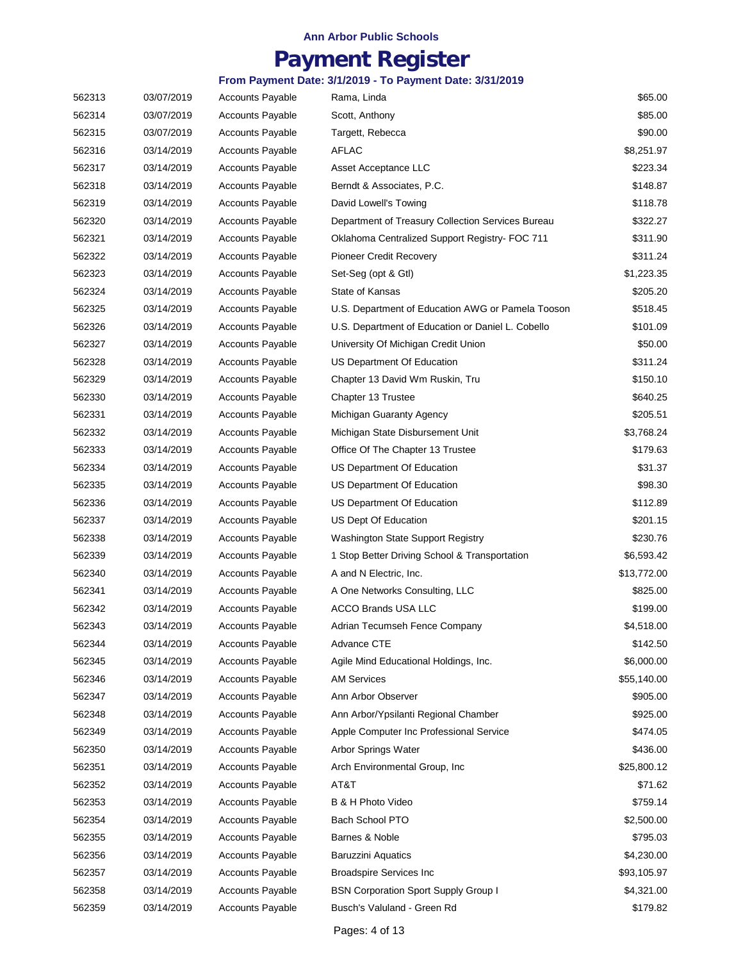## **Payment Register**

| 562313 | 03/07/2019 | <b>Accounts Payable</b> | Rama, Linda                                       | \$65.00     |
|--------|------------|-------------------------|---------------------------------------------------|-------------|
| 562314 | 03/07/2019 | <b>Accounts Payable</b> | Scott, Anthony                                    | \$85.00     |
| 562315 | 03/07/2019 | <b>Accounts Payable</b> | Targett, Rebecca                                  | \$90.00     |
| 562316 | 03/14/2019 | <b>Accounts Payable</b> | AFLAC                                             | \$8,251.97  |
| 562317 | 03/14/2019 | <b>Accounts Payable</b> | Asset Acceptance LLC                              | \$223.34    |
| 562318 | 03/14/2019 | <b>Accounts Payable</b> | Berndt & Associates, P.C.                         | \$148.87    |
| 562319 | 03/14/2019 | <b>Accounts Payable</b> | David Lowell's Towing                             | \$118.78    |
| 562320 | 03/14/2019 | <b>Accounts Payable</b> | Department of Treasury Collection Services Bureau | \$322.27    |
| 562321 | 03/14/2019 | <b>Accounts Payable</b> | Oklahoma Centralized Support Registry- FOC 711    | \$311.90    |
| 562322 | 03/14/2019 | <b>Accounts Payable</b> | Pioneer Credit Recovery                           | \$311.24    |
| 562323 | 03/14/2019 | <b>Accounts Payable</b> | Set-Seg (opt & Gtl)                               | \$1,223.35  |
| 562324 | 03/14/2019 | <b>Accounts Payable</b> | State of Kansas                                   | \$205.20    |
| 562325 | 03/14/2019 | <b>Accounts Payable</b> | U.S. Department of Education AWG or Pamela Tooson | \$518.45    |
| 562326 | 03/14/2019 | <b>Accounts Payable</b> | U.S. Department of Education or Daniel L. Cobello | \$101.09    |
| 562327 | 03/14/2019 | <b>Accounts Payable</b> | University Of Michigan Credit Union               | \$50.00     |
| 562328 | 03/14/2019 | <b>Accounts Payable</b> | US Department Of Education                        | \$311.24    |
| 562329 | 03/14/2019 | <b>Accounts Payable</b> | Chapter 13 David Wm Ruskin, Tru                   | \$150.10    |
| 562330 | 03/14/2019 | <b>Accounts Payable</b> | Chapter 13 Trustee                                | \$640.25    |
| 562331 | 03/14/2019 | <b>Accounts Payable</b> | Michigan Guaranty Agency                          | \$205.51    |
| 562332 | 03/14/2019 | <b>Accounts Payable</b> | Michigan State Disbursement Unit                  | \$3,768.24  |
| 562333 | 03/14/2019 | <b>Accounts Payable</b> | Office Of The Chapter 13 Trustee                  | \$179.63    |
| 562334 | 03/14/2019 | <b>Accounts Payable</b> | US Department Of Education                        | \$31.37     |
| 562335 | 03/14/2019 | <b>Accounts Payable</b> | US Department Of Education                        | \$98.30     |
| 562336 | 03/14/2019 | <b>Accounts Payable</b> | US Department Of Education                        | \$112.89    |
| 562337 | 03/14/2019 | <b>Accounts Payable</b> | US Dept Of Education                              | \$201.15    |
| 562338 | 03/14/2019 | <b>Accounts Payable</b> | Washington State Support Registry                 | \$230.76    |
| 562339 | 03/14/2019 | <b>Accounts Payable</b> | 1 Stop Better Driving School & Transportation     | \$6,593.42  |
| 562340 | 03/14/2019 | <b>Accounts Payable</b> | A and N Electric, Inc.                            | \$13,772.00 |
| 562341 | 03/14/2019 | <b>Accounts Payable</b> | A One Networks Consulting, LLC                    | \$825.00    |
| 562342 | 03/14/2019 | <b>Accounts Payable</b> | ACCO Brands USA LLC                               | \$199.00    |
| 562343 | 03/14/2019 | <b>Accounts Payable</b> | Adrian Tecumseh Fence Company                     | \$4,518.00  |
| 562344 | 03/14/2019 | <b>Accounts Payable</b> | Advance CTE                                       | \$142.50    |
| 562345 | 03/14/2019 | Accounts Payable        | Agile Mind Educational Holdings, Inc.             | \$6,000.00  |
| 562346 | 03/14/2019 | <b>Accounts Payable</b> | <b>AM Services</b>                                | \$55,140.00 |
| 562347 | 03/14/2019 | <b>Accounts Payable</b> | Ann Arbor Observer                                | \$905.00    |
| 562348 | 03/14/2019 | <b>Accounts Payable</b> | Ann Arbor/Ypsilanti Regional Chamber              | \$925.00    |
| 562349 | 03/14/2019 | <b>Accounts Payable</b> | Apple Computer Inc Professional Service           | \$474.05    |
| 562350 | 03/14/2019 | <b>Accounts Payable</b> | Arbor Springs Water                               | \$436.00    |
| 562351 | 03/14/2019 | <b>Accounts Payable</b> | Arch Environmental Group, Inc.                    | \$25,800.12 |
| 562352 | 03/14/2019 | <b>Accounts Payable</b> | AT&T                                              | \$71.62     |
| 562353 | 03/14/2019 | <b>Accounts Payable</b> | B & H Photo Video                                 | \$759.14    |
| 562354 | 03/14/2019 | <b>Accounts Payable</b> | Bach School PTO                                   | \$2,500.00  |
| 562355 | 03/14/2019 | <b>Accounts Payable</b> | Barnes & Noble                                    | \$795.03    |
| 562356 | 03/14/2019 | <b>Accounts Payable</b> | <b>Baruzzini Aquatics</b>                         | \$4,230.00  |
| 562357 | 03/14/2019 | <b>Accounts Payable</b> | <b>Broadspire Services Inc</b>                    | \$93,105.97 |
| 562358 | 03/14/2019 | <b>Accounts Payable</b> | <b>BSN Corporation Sport Supply Group I</b>       | \$4,321.00  |
| 562359 | 03/14/2019 | Accounts Payable        | Busch's Valuland - Green Rd                       | \$179.82    |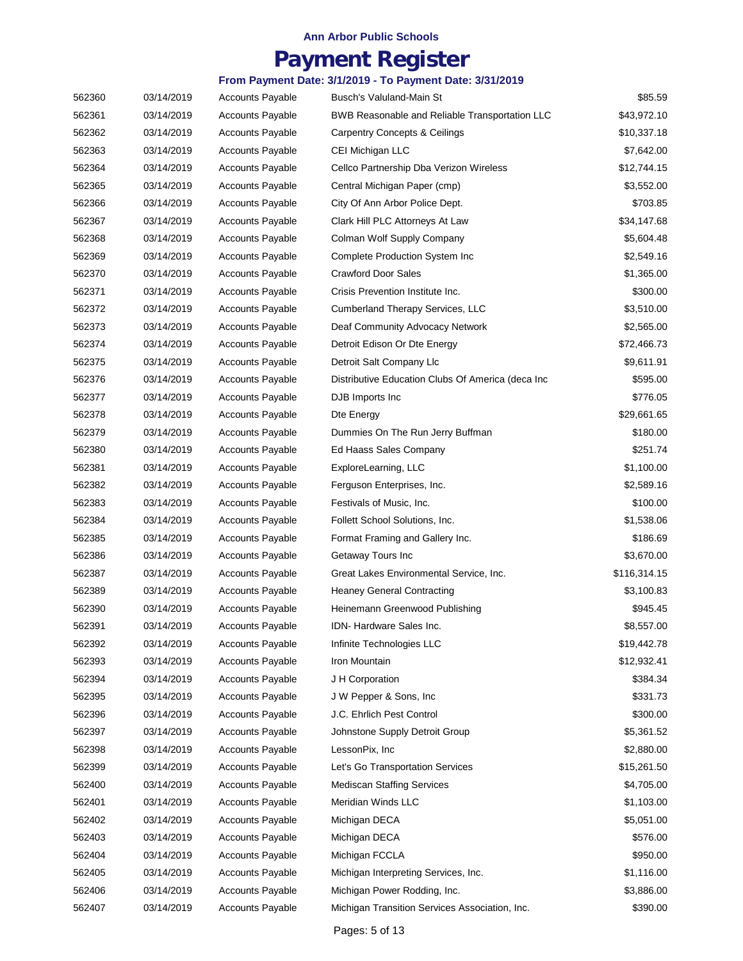## **Payment Register**

| 562360 | 03/14/2019 | <b>Accounts Payable</b> | Busch's Valuland-Main St                           | \$85.59      |
|--------|------------|-------------------------|----------------------------------------------------|--------------|
| 562361 | 03/14/2019 | <b>Accounts Payable</b> | BWB Reasonable and Reliable Transportation LLC     | \$43,972.10  |
| 562362 | 03/14/2019 | <b>Accounts Payable</b> | <b>Carpentry Concepts &amp; Ceilings</b>           | \$10,337.18  |
| 562363 | 03/14/2019 | <b>Accounts Payable</b> | CEI Michigan LLC                                   | \$7,642.00   |
| 562364 | 03/14/2019 | <b>Accounts Payable</b> | Cellco Partnership Dba Verizon Wireless            | \$12,744.15  |
| 562365 | 03/14/2019 | <b>Accounts Payable</b> | Central Michigan Paper (cmp)                       | \$3,552.00   |
| 562366 | 03/14/2019 | <b>Accounts Payable</b> | City Of Ann Arbor Police Dept.                     | \$703.85     |
| 562367 | 03/14/2019 | <b>Accounts Payable</b> | Clark Hill PLC Attorneys At Law                    | \$34,147.68  |
| 562368 | 03/14/2019 | <b>Accounts Payable</b> | Colman Wolf Supply Company                         | \$5,604.48   |
| 562369 | 03/14/2019 | <b>Accounts Payable</b> | Complete Production System Inc                     | \$2,549.16   |
| 562370 | 03/14/2019 | <b>Accounts Payable</b> | <b>Crawford Door Sales</b>                         | \$1,365.00   |
| 562371 | 03/14/2019 | <b>Accounts Payable</b> | Crisis Prevention Institute Inc.                   | \$300.00     |
| 562372 | 03/14/2019 | <b>Accounts Payable</b> | Cumberland Therapy Services, LLC                   | \$3,510.00   |
| 562373 | 03/14/2019 | <b>Accounts Payable</b> | Deaf Community Advocacy Network                    | \$2,565.00   |
| 562374 | 03/14/2019 | <b>Accounts Payable</b> | Detroit Edison Or Dte Energy                       | \$72,466.73  |
| 562375 | 03/14/2019 | <b>Accounts Payable</b> | Detroit Salt Company Llc                           | \$9,611.91   |
| 562376 | 03/14/2019 | <b>Accounts Payable</b> | Distributive Education Clubs Of America (deca Inc. | \$595.00     |
| 562377 | 03/14/2019 | <b>Accounts Payable</b> | DJB Imports Inc                                    | \$776.05     |
| 562378 | 03/14/2019 | <b>Accounts Payable</b> | Dte Energy                                         | \$29,661.65  |
| 562379 | 03/14/2019 | <b>Accounts Payable</b> | Dummies On The Run Jerry Buffman                   | \$180.00     |
| 562380 | 03/14/2019 | <b>Accounts Payable</b> | Ed Haass Sales Company                             | \$251.74     |
| 562381 | 03/14/2019 | <b>Accounts Payable</b> | ExploreLearning, LLC                               | \$1,100.00   |
| 562382 | 03/14/2019 | <b>Accounts Payable</b> | Ferguson Enterprises, Inc.                         | \$2,589.16   |
| 562383 | 03/14/2019 | <b>Accounts Payable</b> | Festivals of Music, Inc.                           | \$100.00     |
| 562384 | 03/14/2019 | <b>Accounts Payable</b> | Follett School Solutions, Inc.                     | \$1,538.06   |
| 562385 | 03/14/2019 | <b>Accounts Payable</b> | Format Framing and Gallery Inc.                    | \$186.69     |
| 562386 | 03/14/2019 | <b>Accounts Payable</b> | Getaway Tours Inc                                  | \$3,670.00   |
| 562387 | 03/14/2019 | <b>Accounts Payable</b> | Great Lakes Environmental Service, Inc.            | \$116,314.15 |
| 562389 | 03/14/2019 | <b>Accounts Payable</b> | <b>Heaney General Contracting</b>                  | \$3,100.83   |
| 562390 | 03/14/2019 | <b>Accounts Payable</b> | Heinemann Greenwood Publishing                     | \$945.45     |
| 562391 | 03/14/2019 | <b>Accounts Payable</b> | IDN- Hardware Sales Inc.                           | \$8,557.00   |
| 562392 | 03/14/2019 | <b>Accounts Payable</b> | Infinite Technologies LLC                          | \$19,442.78  |
| 562393 | 03/14/2019 | <b>Accounts Payable</b> | Iron Mountain                                      | \$12,932.41  |
| 562394 | 03/14/2019 | <b>Accounts Payable</b> | J H Corporation                                    | \$384.34     |
| 562395 | 03/14/2019 | Accounts Payable        | J W Pepper & Sons, Inc                             | \$331.73     |
| 562396 | 03/14/2019 | <b>Accounts Payable</b> | J.C. Ehrlich Pest Control                          | \$300.00     |
| 562397 | 03/14/2019 | <b>Accounts Payable</b> | Johnstone Supply Detroit Group                     | \$5,361.52   |
| 562398 | 03/14/2019 | Accounts Payable        | LessonPix, Inc                                     | \$2,880.00   |
| 562399 | 03/14/2019 | <b>Accounts Payable</b> | Let's Go Transportation Services                   | \$15,261.50  |
| 562400 | 03/14/2019 | <b>Accounts Payable</b> | <b>Mediscan Staffing Services</b>                  | \$4,705.00   |
| 562401 | 03/14/2019 | <b>Accounts Payable</b> | Meridian Winds LLC                                 | \$1,103.00   |
| 562402 | 03/14/2019 | Accounts Payable        | Michigan DECA                                      | \$5,051.00   |
| 562403 | 03/14/2019 | <b>Accounts Payable</b> | Michigan DECA                                      | \$576.00     |
| 562404 | 03/14/2019 | <b>Accounts Payable</b> | Michigan FCCLA                                     | \$950.00     |
| 562405 | 03/14/2019 | <b>Accounts Payable</b> | Michigan Interpreting Services, Inc.               | \$1,116.00   |
| 562406 | 03/14/2019 | <b>Accounts Payable</b> | Michigan Power Rodding, Inc.                       | \$3,886.00   |
| 562407 | 03/14/2019 | Accounts Payable        | Michigan Transition Services Association, Inc.     | \$390.00     |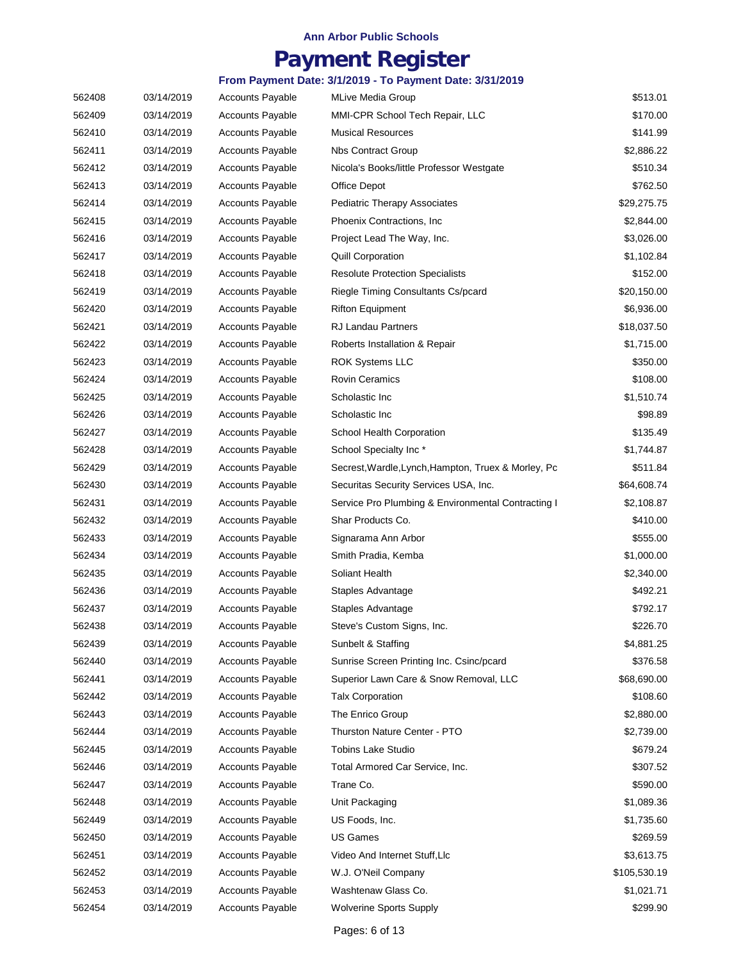## **Payment Register**

#### **From Payment Date: 3/1/2019 - To Payment Date: 3/31/2019**

| 562408 | 03/14/2019 | <b>Accounts Payable</b> | MLive Media Group                                   | \$513.01     |
|--------|------------|-------------------------|-----------------------------------------------------|--------------|
| 562409 | 03/14/2019 | <b>Accounts Payable</b> | MMI-CPR School Tech Repair, LLC                     | \$170.00     |
| 562410 | 03/14/2019 | <b>Accounts Payable</b> | <b>Musical Resources</b>                            | \$141.99     |
| 562411 | 03/14/2019 | <b>Accounts Payable</b> | <b>Nbs Contract Group</b>                           | \$2,886.22   |
| 562412 | 03/14/2019 | <b>Accounts Payable</b> | Nicola's Books/little Professor Westgate            | \$510.34     |
| 562413 | 03/14/2019 | <b>Accounts Payable</b> | Office Depot                                        | \$762.50     |
| 562414 | 03/14/2019 | <b>Accounts Payable</b> | <b>Pediatric Therapy Associates</b>                 | \$29,275.75  |
| 562415 | 03/14/2019 | Accounts Payable        | Phoenix Contractions, Inc.                          | \$2,844.00   |
| 562416 | 03/14/2019 | <b>Accounts Payable</b> | Project Lead The Way, Inc.                          | \$3,026.00   |
| 562417 | 03/14/2019 | <b>Accounts Payable</b> | <b>Quill Corporation</b>                            | \$1,102.84   |
| 562418 | 03/14/2019 | <b>Accounts Payable</b> | <b>Resolute Protection Specialists</b>              | \$152.00     |
| 562419 | 03/14/2019 | <b>Accounts Payable</b> | Riegle Timing Consultants Cs/pcard                  | \$20,150.00  |
| 562420 | 03/14/2019 | <b>Accounts Payable</b> | <b>Rifton Equipment</b>                             | \$6,936.00   |
| 562421 | 03/14/2019 | <b>Accounts Payable</b> | <b>RJ Landau Partners</b>                           | \$18,037.50  |
| 562422 | 03/14/2019 | Accounts Payable        | Roberts Installation & Repair                       | \$1,715.00   |
| 562423 | 03/14/2019 | <b>Accounts Payable</b> | <b>ROK Systems LLC</b>                              | \$350.00     |
| 562424 | 03/14/2019 | <b>Accounts Payable</b> | <b>Rovin Ceramics</b>                               | \$108.00     |
| 562425 | 03/14/2019 | <b>Accounts Payable</b> | Scholastic Inc                                      | \$1,510.74   |
| 562426 | 03/14/2019 | <b>Accounts Payable</b> | Scholastic Inc                                      | \$98.89      |
| 562427 | 03/14/2019 | <b>Accounts Payable</b> | School Health Corporation                           | \$135.49     |
| 562428 | 03/14/2019 | <b>Accounts Payable</b> | School Specialty Inc*                               | \$1,744.87   |
| 562429 | 03/14/2019 | <b>Accounts Payable</b> | Secrest, Wardle, Lynch, Hampton, Truex & Morley, Pc | \$511.84     |
| 562430 | 03/14/2019 | <b>Accounts Payable</b> | Securitas Security Services USA, Inc.               | \$64,608.74  |
| 562431 | 03/14/2019 | <b>Accounts Payable</b> | Service Pro Plumbing & Environmental Contracting I  | \$2,108.87   |
| 562432 | 03/14/2019 | <b>Accounts Payable</b> | Shar Products Co.                                   | \$410.00     |
| 562433 | 03/14/2019 | <b>Accounts Payable</b> | Signarama Ann Arbor                                 | \$555.00     |
| 562434 | 03/14/2019 | Accounts Payable        | Smith Pradia, Kemba                                 | \$1,000.00   |
| 562435 | 03/14/2019 | <b>Accounts Payable</b> | Soliant Health                                      | \$2,340.00   |
| 562436 | 03/14/2019 | <b>Accounts Payable</b> | Staples Advantage                                   | \$492.21     |
| 562437 | 03/14/2019 | <b>Accounts Payable</b> | Staples Advantage                                   | \$792.17     |
| 562438 | 03/14/2019 | Accounts Payable        | Steve's Custom Signs, Inc.                          | \$226.70     |
| 562439 | 03/14/2019 | <b>Accounts Payable</b> | Sunbelt & Staffing                                  | \$4,881.25   |
| 562440 | 03/14/2019 | <b>Accounts Payable</b> | Sunrise Screen Printing Inc. Csinc/pcard            | \$376.58     |
| 562441 | 03/14/2019 | <b>Accounts Payable</b> | Superior Lawn Care & Snow Removal, LLC              | \$68,690.00  |
| 562442 | 03/14/2019 | <b>Accounts Payable</b> | <b>Talx Corporation</b>                             | \$108.60     |
| 562443 | 03/14/2019 | <b>Accounts Payable</b> | The Enrico Group                                    | \$2,880.00   |
| 562444 | 03/14/2019 | <b>Accounts Payable</b> | Thurston Nature Center - PTO                        | \$2,739.00   |
| 562445 | 03/14/2019 | <b>Accounts Payable</b> | <b>Tobins Lake Studio</b>                           | \$679.24     |
| 562446 | 03/14/2019 | <b>Accounts Payable</b> | Total Armored Car Service, Inc.                     | \$307.52     |
| 562447 | 03/14/2019 | <b>Accounts Payable</b> | Trane Co.                                           | \$590.00     |
| 562448 | 03/14/2019 | <b>Accounts Payable</b> | Unit Packaging                                      | \$1,089.36   |
| 562449 | 03/14/2019 | <b>Accounts Payable</b> | US Foods, Inc.                                      | \$1,735.60   |
| 562450 | 03/14/2019 | <b>Accounts Payable</b> | <b>US Games</b>                                     | \$269.59     |
| 562451 | 03/14/2019 | <b>Accounts Payable</b> | Video And Internet Stuff, Llc                       | \$3,613.75   |
| 562452 | 03/14/2019 | <b>Accounts Payable</b> | W.J. O'Neil Company                                 | \$105,530.19 |
| 562453 | 03/14/2019 | <b>Accounts Payable</b> | Washtenaw Glass Co.                                 | \$1,021.71   |
| 562454 | 03/14/2019 | Accounts Payable        | <b>Wolverine Sports Supply</b>                      | \$299.90     |

Pages: 6 of 13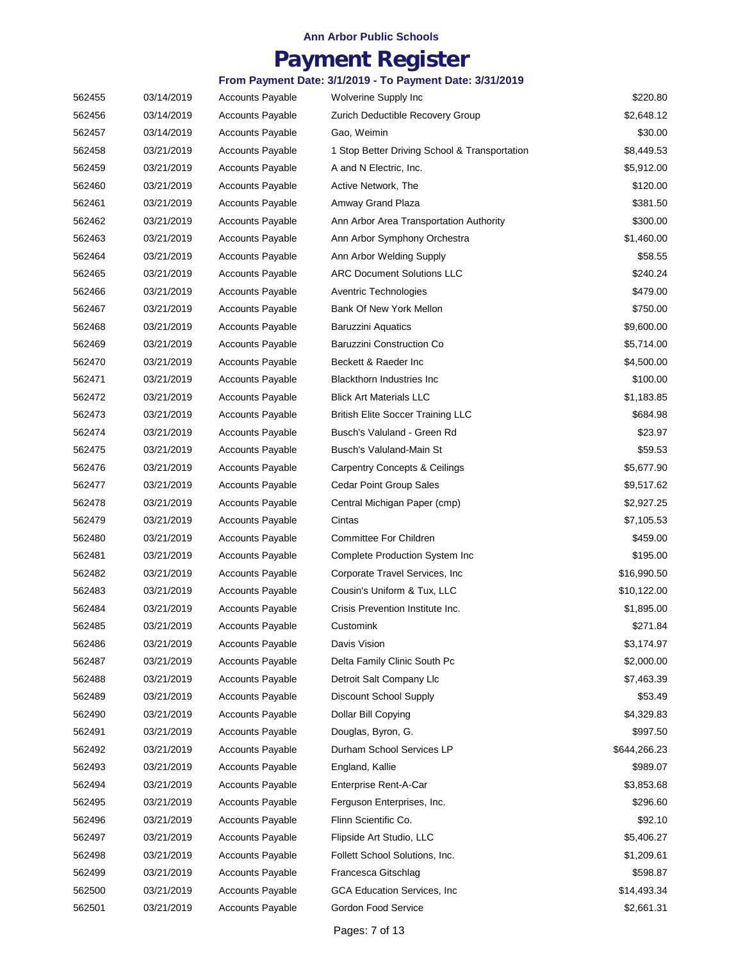## **Payment Register**

| 562455 | 03/14/2019 | <b>Accounts Payable</b> | Wolverine Supply Inc                          | \$220.80     |
|--------|------------|-------------------------|-----------------------------------------------|--------------|
| 562456 | 03/14/2019 | <b>Accounts Payable</b> | Zurich Deductible Recovery Group              | \$2,648.12   |
| 562457 | 03/14/2019 | <b>Accounts Payable</b> | Gao, Weimin                                   | \$30.00      |
| 562458 | 03/21/2019 | <b>Accounts Payable</b> | 1 Stop Better Driving School & Transportation | \$8,449.53   |
| 562459 | 03/21/2019 | <b>Accounts Payable</b> | A and N Electric, Inc.                        | \$5,912.00   |
| 562460 | 03/21/2019 | <b>Accounts Payable</b> | Active Network, The                           | \$120.00     |
| 562461 | 03/21/2019 | <b>Accounts Payable</b> | Amway Grand Plaza                             | \$381.50     |
| 562462 | 03/21/2019 | <b>Accounts Payable</b> | Ann Arbor Area Transportation Authority       | \$300.00     |
| 562463 | 03/21/2019 | <b>Accounts Payable</b> | Ann Arbor Symphony Orchestra                  | \$1,460.00   |
| 562464 | 03/21/2019 | <b>Accounts Payable</b> | Ann Arbor Welding Supply                      | \$58.55      |
| 562465 | 03/21/2019 | <b>Accounts Payable</b> | <b>ARC Document Solutions LLC</b>             | \$240.24     |
| 562466 | 03/21/2019 | <b>Accounts Payable</b> | Aventric Technologies                         | \$479.00     |
| 562467 | 03/21/2019 | <b>Accounts Payable</b> | Bank Of New York Mellon                       | \$750.00     |
| 562468 | 03/21/2019 | <b>Accounts Payable</b> | <b>Baruzzini Aquatics</b>                     | \$9,600.00   |
| 562469 | 03/21/2019 | <b>Accounts Payable</b> | <b>Baruzzini Construction Co</b>              | \$5,714.00   |
| 562470 | 03/21/2019 | <b>Accounts Payable</b> | Beckett & Raeder Inc                          | \$4,500.00   |
| 562471 | 03/21/2019 | <b>Accounts Payable</b> | <b>Blackthorn Industries Inc</b>              | \$100.00     |
| 562472 | 03/21/2019 | <b>Accounts Payable</b> | <b>Blick Art Materials LLC</b>                | \$1,183.85   |
| 562473 | 03/21/2019 | <b>Accounts Payable</b> | <b>British Elite Soccer Training LLC</b>      | \$684.98     |
| 562474 | 03/21/2019 | <b>Accounts Payable</b> | Busch's Valuland - Green Rd                   | \$23.97      |
| 562475 | 03/21/2019 | <b>Accounts Payable</b> | Busch's Valuland-Main St                      | \$59.53      |
| 562476 | 03/21/2019 | <b>Accounts Payable</b> | <b>Carpentry Concepts &amp; Ceilings</b>      | \$5,677.90   |
| 562477 | 03/21/2019 | <b>Accounts Payable</b> | <b>Cedar Point Group Sales</b>                | \$9,517.62   |
| 562478 | 03/21/2019 | <b>Accounts Payable</b> | Central Michigan Paper (cmp)                  | \$2,927.25   |
| 562479 | 03/21/2019 | <b>Accounts Payable</b> | Cintas                                        | \$7,105.53   |
| 562480 | 03/21/2019 | <b>Accounts Payable</b> | Committee For Children                        | \$459.00     |
| 562481 | 03/21/2019 | Accounts Payable        | Complete Production System Inc                | \$195.00     |
| 562482 | 03/21/2019 | <b>Accounts Payable</b> | Corporate Travel Services, Inc.               | \$16,990.50  |
| 562483 | 03/21/2019 | <b>Accounts Payable</b> | Cousin's Uniform & Tux, LLC                   | \$10,122.00  |
| 562484 | 03/21/2019 | <b>Accounts Payable</b> | Crisis Prevention Institute Inc.              | \$1,895.00   |
| 562485 | 03/21/2019 | <b>Accounts Payable</b> | Customink                                     | \$271.84     |
| 562486 | 03/21/2019 | <b>Accounts Payable</b> | Davis Vision                                  | \$3,174.97   |
| 562487 | 03/21/2019 | <b>Accounts Payable</b> | Delta Family Clinic South Pc                  | \$2,000.00   |
| 562488 | 03/21/2019 | <b>Accounts Payable</b> | Detroit Salt Company Llc                      | \$7,463.39   |
| 562489 | 03/21/2019 | <b>Accounts Payable</b> | <b>Discount School Supply</b>                 | \$53.49      |
| 562490 | 03/21/2019 | <b>Accounts Payable</b> | Dollar Bill Copying                           | \$4,329.83   |
| 562491 | 03/21/2019 | <b>Accounts Payable</b> | Douglas, Byron, G.                            | \$997.50     |
| 562492 | 03/21/2019 | <b>Accounts Payable</b> | Durham School Services LP                     | \$644,266.23 |
| 562493 | 03/21/2019 | <b>Accounts Payable</b> | England, Kallie                               | \$989.07     |
| 562494 | 03/21/2019 | <b>Accounts Payable</b> | Enterprise Rent-A-Car                         | \$3,853.68   |
| 562495 | 03/21/2019 | <b>Accounts Payable</b> | Ferguson Enterprises, Inc.                    | \$296.60     |
| 562496 | 03/21/2019 | <b>Accounts Payable</b> | Flinn Scientific Co.                          | \$92.10      |
| 562497 | 03/21/2019 | <b>Accounts Payable</b> | Flipside Art Studio, LLC                      | \$5,406.27   |
| 562498 | 03/21/2019 | <b>Accounts Payable</b> | Follett School Solutions, Inc.                | \$1,209.61   |
| 562499 | 03/21/2019 | <b>Accounts Payable</b> | Francesca Gitschlag                           | \$598.87     |
| 562500 | 03/21/2019 | Accounts Payable        | GCA Education Services, Inc.                  | \$14,493.34  |
| 562501 | 03/21/2019 | Accounts Payable        | Gordon Food Service                           | \$2,661.31   |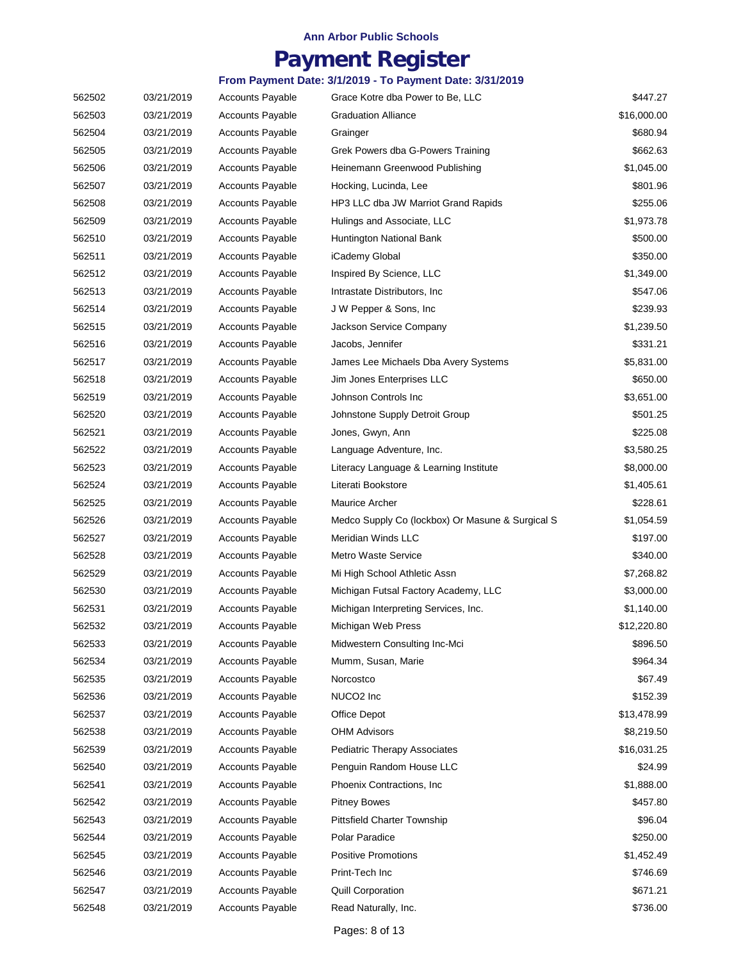## **Payment Register**

| 562502 | 03/21/2019 | <b>Accounts Payable</b> | Grace Kotre dba Power to Be, LLC                 | \$447.27    |
|--------|------------|-------------------------|--------------------------------------------------|-------------|
| 562503 | 03/21/2019 | <b>Accounts Payable</b> | <b>Graduation Alliance</b>                       | \$16,000.00 |
| 562504 | 03/21/2019 | <b>Accounts Payable</b> | Grainger                                         | \$680.94    |
| 562505 | 03/21/2019 | <b>Accounts Payable</b> | Grek Powers dba G-Powers Training                | \$662.63    |
| 562506 | 03/21/2019 | <b>Accounts Payable</b> | Heinemann Greenwood Publishing                   | \$1,045.00  |
| 562507 | 03/21/2019 | <b>Accounts Payable</b> | Hocking, Lucinda, Lee                            | \$801.96    |
| 562508 | 03/21/2019 | <b>Accounts Payable</b> | HP3 LLC dba JW Marriot Grand Rapids              | \$255.06    |
| 562509 | 03/21/2019 | <b>Accounts Payable</b> | Hulings and Associate, LLC                       | \$1,973.78  |
| 562510 | 03/21/2019 | <b>Accounts Payable</b> | Huntington National Bank                         | \$500.00    |
| 562511 | 03/21/2019 | <b>Accounts Payable</b> | iCademy Global                                   | \$350.00    |
| 562512 | 03/21/2019 | <b>Accounts Payable</b> | Inspired By Science, LLC                         | \$1,349.00  |
| 562513 | 03/21/2019 | <b>Accounts Payable</b> | Intrastate Distributors, Inc.                    | \$547.06    |
| 562514 | 03/21/2019 | <b>Accounts Payable</b> | J W Pepper & Sons, Inc.                          | \$239.93    |
| 562515 | 03/21/2019 | <b>Accounts Payable</b> | Jackson Service Company                          | \$1,239.50  |
| 562516 | 03/21/2019 | <b>Accounts Payable</b> | Jacobs, Jennifer                                 | \$331.21    |
| 562517 | 03/21/2019 | <b>Accounts Payable</b> | James Lee Michaels Dba Avery Systems             | \$5,831.00  |
| 562518 | 03/21/2019 | <b>Accounts Payable</b> | Jim Jones Enterprises LLC                        | \$650.00    |
| 562519 | 03/21/2019 | <b>Accounts Payable</b> | Johnson Controls Inc.                            | \$3,651.00  |
| 562520 | 03/21/2019 | <b>Accounts Payable</b> | Johnstone Supply Detroit Group                   | \$501.25    |
| 562521 | 03/21/2019 | <b>Accounts Payable</b> | Jones, Gwyn, Ann                                 | \$225.08    |
| 562522 | 03/21/2019 | <b>Accounts Payable</b> | Language Adventure, Inc.                         | \$3,580.25  |
| 562523 | 03/21/2019 | <b>Accounts Payable</b> | Literacy Language & Learning Institute           | \$8,000.00  |
| 562524 | 03/21/2019 | <b>Accounts Payable</b> | Literati Bookstore                               | \$1,405.61  |
| 562525 | 03/21/2019 | <b>Accounts Payable</b> | Maurice Archer                                   | \$228.61    |
| 562526 | 03/21/2019 | <b>Accounts Payable</b> | Medco Supply Co (lockbox) Or Masune & Surgical S | \$1,054.59  |
| 562527 | 03/21/2019 | <b>Accounts Payable</b> | Meridian Winds LLC                               | \$197.00    |
| 562528 | 03/21/2019 | <b>Accounts Payable</b> | Metro Waste Service                              | \$340.00    |
| 562529 | 03/21/2019 | <b>Accounts Payable</b> | Mi High School Athletic Assn                     | \$7,268.82  |
| 562530 | 03/21/2019 | <b>Accounts Payable</b> | Michigan Futsal Factory Academy, LLC             | \$3,000.00  |
| 562531 | 03/21/2019 | <b>Accounts Payable</b> | Michigan Interpreting Services, Inc.             | \$1,140.00  |
| 562532 | 03/21/2019 | <b>Accounts Payable</b> | Michigan Web Press                               | \$12,220.80 |
| 562533 | 03/21/2019 | <b>Accounts Payable</b> | Midwestern Consulting Inc-Mci                    | \$896.50    |
| 562534 | 03/21/2019 | <b>Accounts Payable</b> | Mumm, Susan, Marie                               | \$964.34    |
| 562535 | 03/21/2019 | <b>Accounts Payable</b> | Norcostco                                        | \$67.49     |
| 562536 | 03/21/2019 | <b>Accounts Payable</b> | NUCO2 Inc                                        | \$152.39    |
| 562537 | 03/21/2019 | <b>Accounts Payable</b> | Office Depot                                     | \$13,478.99 |
| 562538 | 03/21/2019 | <b>Accounts Payable</b> | <b>OHM Advisors</b>                              | \$8,219.50  |
| 562539 | 03/21/2019 | <b>Accounts Payable</b> | <b>Pediatric Therapy Associates</b>              | \$16,031.25 |
| 562540 | 03/21/2019 | <b>Accounts Payable</b> | Penguin Random House LLC                         | \$24.99     |
| 562541 | 03/21/2019 | <b>Accounts Payable</b> | Phoenix Contractions, Inc.                       | \$1,888.00  |
| 562542 | 03/21/2019 | <b>Accounts Payable</b> | <b>Pitney Bowes</b>                              | \$457.80    |
| 562543 | 03/21/2019 | <b>Accounts Payable</b> | <b>Pittsfield Charter Township</b>               | \$96.04     |
| 562544 | 03/21/2019 | <b>Accounts Payable</b> | Polar Paradice                                   | \$250.00    |
| 562545 | 03/21/2019 | <b>Accounts Payable</b> | <b>Positive Promotions</b>                       | \$1,452.49  |
| 562546 | 03/21/2019 | <b>Accounts Payable</b> | Print-Tech Inc                                   | \$746.69    |
| 562547 | 03/21/2019 | <b>Accounts Payable</b> | <b>Quill Corporation</b>                         | \$671.21    |
| 562548 | 03/21/2019 | <b>Accounts Payable</b> | Read Naturally, Inc.                             | \$736.00    |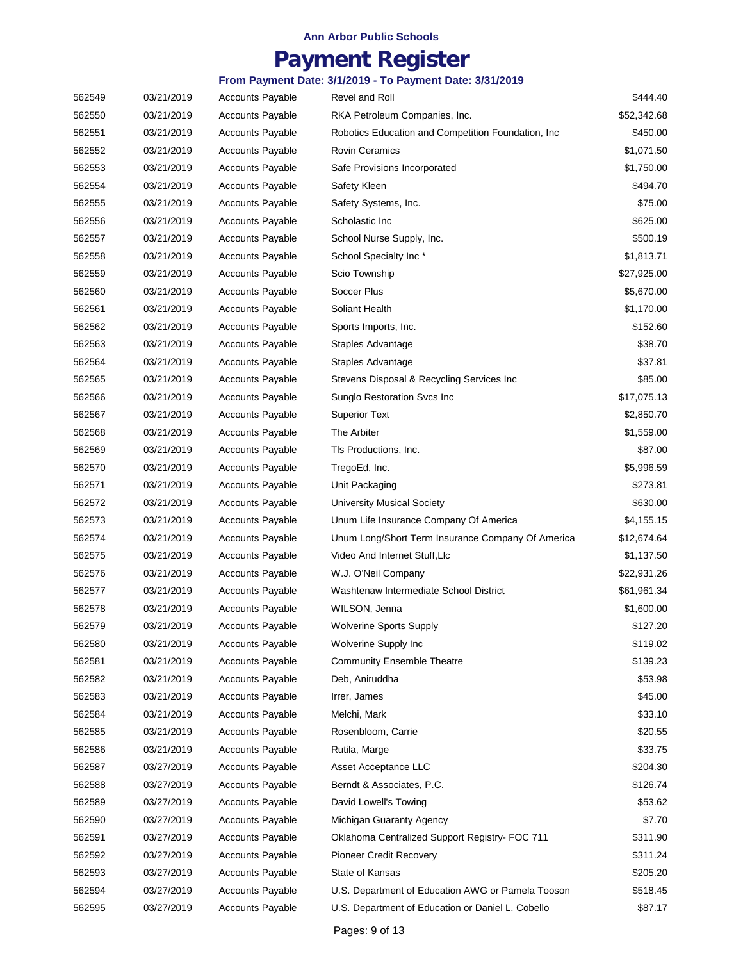## **Payment Register**

| 562549 | 03/21/2019 | <b>Accounts Payable</b> | Revel and Roll                                      | \$444.40    |
|--------|------------|-------------------------|-----------------------------------------------------|-------------|
| 562550 | 03/21/2019 | <b>Accounts Payable</b> | RKA Petroleum Companies, Inc.                       | \$52,342.68 |
| 562551 | 03/21/2019 | <b>Accounts Payable</b> | Robotics Education and Competition Foundation, Inc. | \$450.00    |
| 562552 | 03/21/2019 | <b>Accounts Payable</b> | <b>Rovin Ceramics</b>                               | \$1,071.50  |
| 562553 | 03/21/2019 | <b>Accounts Payable</b> | Safe Provisions Incorporated                        | \$1,750.00  |
| 562554 | 03/21/2019 | <b>Accounts Payable</b> | Safety Kleen                                        | \$494.70    |
| 562555 | 03/21/2019 | <b>Accounts Payable</b> | Safety Systems, Inc.                                | \$75.00     |
| 562556 | 03/21/2019 | <b>Accounts Payable</b> | Scholastic Inc.                                     | \$625.00    |
| 562557 | 03/21/2019 | <b>Accounts Payable</b> | School Nurse Supply, Inc.                           | \$500.19    |
| 562558 | 03/21/2019 | <b>Accounts Payable</b> | School Specialty Inc*                               | \$1,813.71  |
| 562559 | 03/21/2019 | <b>Accounts Payable</b> | Scio Township                                       | \$27,925.00 |
| 562560 | 03/21/2019 | <b>Accounts Payable</b> | Soccer Plus                                         | \$5,670.00  |
| 562561 | 03/21/2019 | <b>Accounts Payable</b> | Soliant Health                                      | \$1,170.00  |
| 562562 | 03/21/2019 | <b>Accounts Payable</b> | Sports Imports, Inc.                                | \$152.60    |
| 562563 | 03/21/2019 | <b>Accounts Payable</b> | Staples Advantage                                   | \$38.70     |
| 562564 | 03/21/2019 | <b>Accounts Payable</b> | Staples Advantage                                   | \$37.81     |
| 562565 | 03/21/2019 | <b>Accounts Payable</b> | Stevens Disposal & Recycling Services Inc           | \$85.00     |
| 562566 | 03/21/2019 | <b>Accounts Payable</b> | Sunglo Restoration Svcs Inc                         | \$17,075.13 |
| 562567 | 03/21/2019 | <b>Accounts Payable</b> | <b>Superior Text</b>                                | \$2,850.70  |
| 562568 | 03/21/2019 | <b>Accounts Payable</b> | The Arbiter                                         | \$1,559.00  |
| 562569 | 03/21/2019 | <b>Accounts Payable</b> | Tls Productions, Inc.                               | \$87.00     |
| 562570 | 03/21/2019 | <b>Accounts Payable</b> | TregoEd, Inc.                                       | \$5,996.59  |
| 562571 | 03/21/2019 | <b>Accounts Payable</b> | Unit Packaging                                      | \$273.81    |
| 562572 | 03/21/2019 | <b>Accounts Payable</b> | <b>University Musical Society</b>                   | \$630.00    |
| 562573 | 03/21/2019 | <b>Accounts Payable</b> | Unum Life Insurance Company Of America              | \$4,155.15  |
| 562574 | 03/21/2019 | <b>Accounts Payable</b> | Unum Long/Short Term Insurance Company Of America   | \$12,674.64 |
| 562575 | 03/21/2019 | Accounts Payable        | Video And Internet Stuff, LIc                       | \$1,137.50  |
| 562576 | 03/21/2019 | <b>Accounts Payable</b> | W.J. O'Neil Company                                 | \$22,931.26 |
| 562577 | 03/21/2019 | <b>Accounts Payable</b> | Washtenaw Intermediate School District              | \$61,961.34 |
| 562578 | 03/21/2019 | <b>Accounts Payable</b> | WILSON, Jenna                                       | \$1,600.00  |
| 562579 | 03/21/2019 | <b>Accounts Payable</b> | <b>Wolverine Sports Supply</b>                      | \$127.20    |
| 562580 | 03/21/2019 | <b>Accounts Payable</b> | Wolverine Supply Inc                                | \$119.02    |
| 562581 | 03/21/2019 | <b>Accounts Payable</b> | <b>Community Ensemble Theatre</b>                   | \$139.23    |
| 562582 | 03/21/2019 | <b>Accounts Payable</b> | Deb, Aniruddha                                      | \$53.98     |
| 562583 | 03/21/2019 | <b>Accounts Payable</b> | Irrer, James                                        | \$45.00     |
| 562584 | 03/21/2019 | <b>Accounts Payable</b> | Melchi, Mark                                        | \$33.10     |
| 562585 | 03/21/2019 | <b>Accounts Payable</b> | Rosenbloom, Carrie                                  | \$20.55     |
| 562586 | 03/21/2019 | <b>Accounts Payable</b> | Rutila, Marge                                       | \$33.75     |
| 562587 | 03/27/2019 | <b>Accounts Payable</b> | Asset Acceptance LLC                                | \$204.30    |
| 562588 | 03/27/2019 | <b>Accounts Payable</b> | Berndt & Associates, P.C.                           | \$126.74    |
| 562589 | 03/27/2019 | <b>Accounts Payable</b> | David Lowell's Towing                               | \$53.62     |
| 562590 | 03/27/2019 | <b>Accounts Payable</b> | Michigan Guaranty Agency                            | \$7.70      |
| 562591 | 03/27/2019 | <b>Accounts Payable</b> | Oklahoma Centralized Support Registry- FOC 711      | \$311.90    |
| 562592 | 03/27/2019 | <b>Accounts Payable</b> | <b>Pioneer Credit Recovery</b>                      | \$311.24    |
| 562593 | 03/27/2019 | <b>Accounts Payable</b> | State of Kansas                                     | \$205.20    |
| 562594 | 03/27/2019 | <b>Accounts Payable</b> | U.S. Department of Education AWG or Pamela Tooson   | \$518.45    |
| 562595 | 03/27/2019 | Accounts Payable        | U.S. Department of Education or Daniel L. Cobello   | \$87.17     |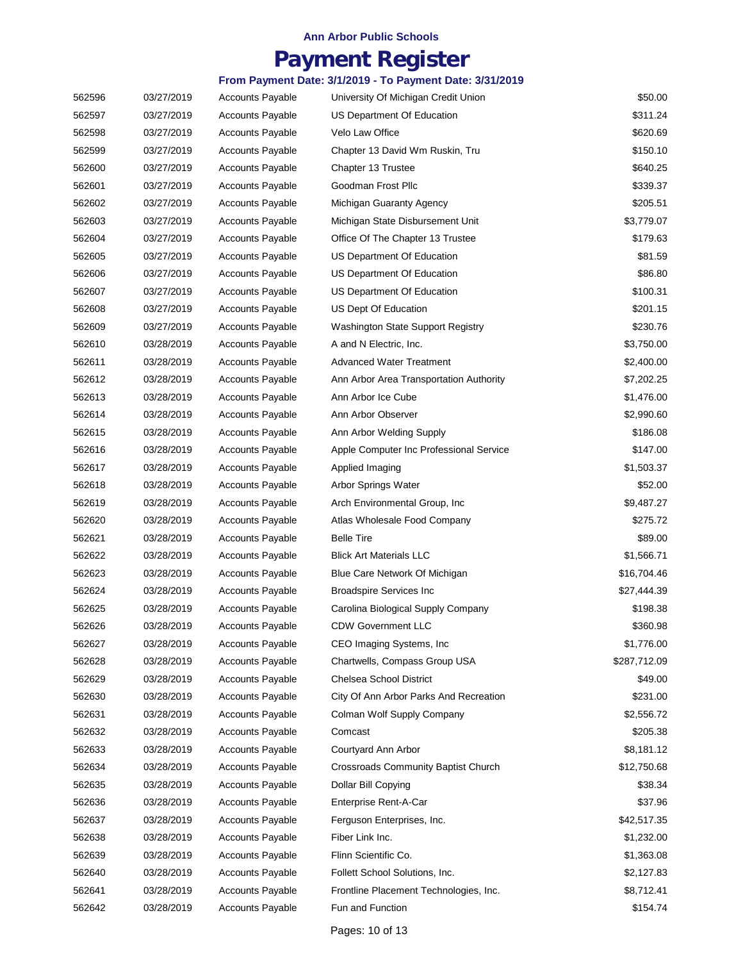## **Payment Register**

| 562596 | 03/27/2019 | <b>Accounts Payable</b> | University Of Michigan Credit Union        | \$50.00      |
|--------|------------|-------------------------|--------------------------------------------|--------------|
| 562597 | 03/27/2019 | <b>Accounts Payable</b> | US Department Of Education                 | \$311.24     |
| 562598 | 03/27/2019 | <b>Accounts Payable</b> | Velo Law Office                            | \$620.69     |
| 562599 | 03/27/2019 | <b>Accounts Payable</b> | Chapter 13 David Wm Ruskin, Tru            | \$150.10     |
| 562600 | 03/27/2019 | <b>Accounts Payable</b> | Chapter 13 Trustee                         | \$640.25     |
| 562601 | 03/27/2019 | <b>Accounts Payable</b> | Goodman Frost Pllc                         | \$339.37     |
| 562602 | 03/27/2019 | <b>Accounts Payable</b> | Michigan Guaranty Agency                   | \$205.51     |
| 562603 | 03/27/2019 | <b>Accounts Payable</b> | Michigan State Disbursement Unit           | \$3,779.07   |
| 562604 | 03/27/2019 | <b>Accounts Payable</b> | Office Of The Chapter 13 Trustee           | \$179.63     |
| 562605 | 03/27/2019 | <b>Accounts Payable</b> | US Department Of Education                 | \$81.59      |
| 562606 | 03/27/2019 | <b>Accounts Payable</b> | US Department Of Education                 | \$86.80      |
| 562607 | 03/27/2019 | <b>Accounts Payable</b> | US Department Of Education                 | \$100.31     |
| 562608 | 03/27/2019 | <b>Accounts Payable</b> | US Dept Of Education                       | \$201.15     |
| 562609 | 03/27/2019 | <b>Accounts Payable</b> | Washington State Support Registry          | \$230.76     |
| 562610 | 03/28/2019 | <b>Accounts Payable</b> | A and N Electric, Inc.                     | \$3,750.00   |
| 562611 | 03/28/2019 | <b>Accounts Payable</b> | <b>Advanced Water Treatment</b>            | \$2,400.00   |
| 562612 | 03/28/2019 | <b>Accounts Payable</b> | Ann Arbor Area Transportation Authority    | \$7,202.25   |
| 562613 | 03/28/2019 | <b>Accounts Payable</b> | Ann Arbor Ice Cube                         | \$1,476.00   |
| 562614 | 03/28/2019 | <b>Accounts Payable</b> | Ann Arbor Observer                         | \$2,990.60   |
| 562615 | 03/28/2019 | <b>Accounts Payable</b> | Ann Arbor Welding Supply                   | \$186.08     |
| 562616 | 03/28/2019 | <b>Accounts Payable</b> | Apple Computer Inc Professional Service    | \$147.00     |
| 562617 | 03/28/2019 | <b>Accounts Payable</b> | Applied Imaging                            | \$1,503.37   |
| 562618 | 03/28/2019 | <b>Accounts Payable</b> | Arbor Springs Water                        | \$52.00      |
| 562619 | 03/28/2019 | <b>Accounts Payable</b> | Arch Environmental Group, Inc.             | \$9,487.27   |
| 562620 | 03/28/2019 | <b>Accounts Payable</b> | Atlas Wholesale Food Company               | \$275.72     |
| 562621 | 03/28/2019 | <b>Accounts Payable</b> | <b>Belle Tire</b>                          | \$89.00      |
| 562622 | 03/28/2019 | <b>Accounts Payable</b> | <b>Blick Art Materials LLC</b>             | \$1,566.71   |
| 562623 | 03/28/2019 | <b>Accounts Payable</b> | Blue Care Network Of Michigan              | \$16,704.46  |
| 562624 | 03/28/2019 | <b>Accounts Payable</b> | <b>Broadspire Services Inc</b>             | \$27,444.39  |
| 562625 | 03/28/2019 | <b>Accounts Payable</b> | Carolina Biological Supply Company         | \$198.38     |
| 562626 | 03/28/2019 | <b>Accounts Payable</b> | <b>CDW Government LLC</b>                  | \$360.98     |
| 562627 | 03/28/2019 | <b>Accounts Payable</b> | CEO Imaging Systems, Inc.                  | \$1,776.00   |
| 562628 | 03/28/2019 | <b>Accounts Payable</b> | Chartwells, Compass Group USA              | \$287,712.09 |
| 562629 | 03/28/2019 | <b>Accounts Payable</b> | Chelsea School District                    | \$49.00      |
| 562630 | 03/28/2019 | <b>Accounts Payable</b> | City Of Ann Arbor Parks And Recreation     | \$231.00     |
| 562631 | 03/28/2019 | <b>Accounts Payable</b> | Colman Wolf Supply Company                 | \$2,556.72   |
| 562632 | 03/28/2019 | <b>Accounts Payable</b> | Comcast                                    | \$205.38     |
| 562633 | 03/28/2019 | <b>Accounts Payable</b> | Courtyard Ann Arbor                        | \$8,181.12   |
| 562634 | 03/28/2019 | <b>Accounts Payable</b> | <b>Crossroads Community Baptist Church</b> | \$12,750.68  |
| 562635 | 03/28/2019 | <b>Accounts Payable</b> | Dollar Bill Copying                        | \$38.34      |
| 562636 | 03/28/2019 | <b>Accounts Payable</b> | Enterprise Rent-A-Car                      | \$37.96      |
| 562637 | 03/28/2019 | <b>Accounts Payable</b> | Ferguson Enterprises, Inc.                 | \$42,517.35  |
| 562638 | 03/28/2019 | <b>Accounts Payable</b> | Fiber Link Inc.                            | \$1,232.00   |
| 562639 | 03/28/2019 | <b>Accounts Payable</b> | Flinn Scientific Co.                       | \$1,363.08   |
| 562640 | 03/28/2019 | <b>Accounts Payable</b> | Follett School Solutions, Inc.             | \$2,127.83   |
| 562641 | 03/28/2019 | <b>Accounts Payable</b> | Frontline Placement Technologies, Inc.     | \$8,712.41   |
| 562642 | 03/28/2019 | Accounts Payable        | Fun and Function                           | \$154.74     |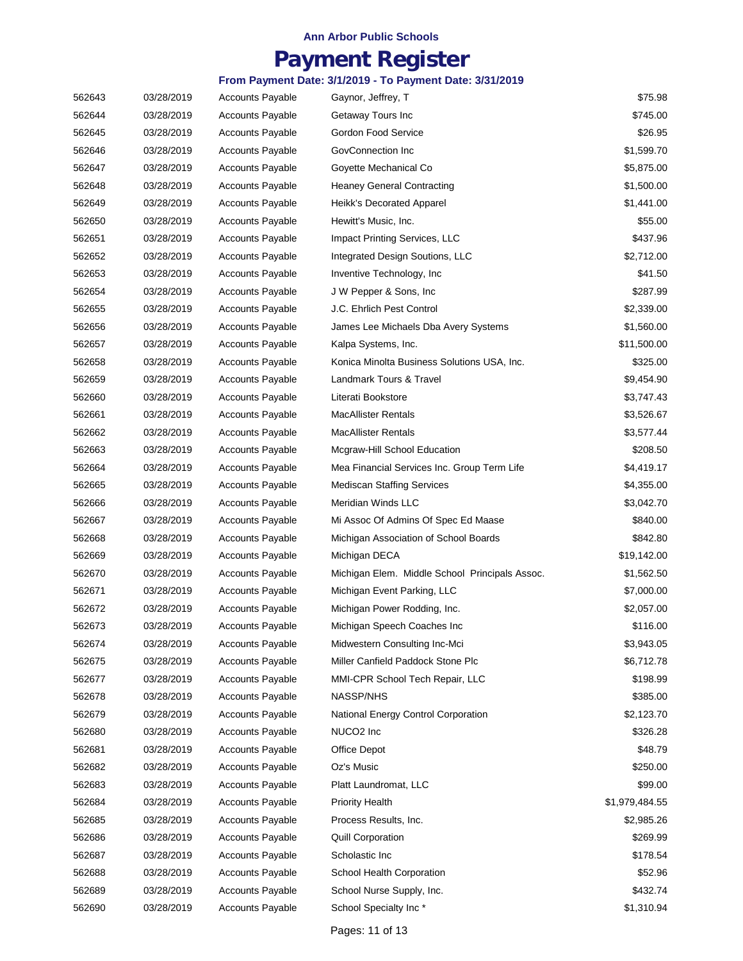## **Payment Register**

| 562643 | 03/28/2019 | Accounts Payable        | Gaynor, Jeffrey, T                             | \$75.98        |
|--------|------------|-------------------------|------------------------------------------------|----------------|
| 562644 | 03/28/2019 | <b>Accounts Payable</b> | Getaway Tours Inc                              | \$745.00       |
| 562645 | 03/28/2019 | <b>Accounts Payable</b> | Gordon Food Service                            | \$26.95        |
| 562646 | 03/28/2019 | <b>Accounts Payable</b> | GovConnection Inc                              | \$1,599.70     |
| 562647 | 03/28/2019 | <b>Accounts Payable</b> | Goyette Mechanical Co                          | \$5,875.00     |
| 562648 | 03/28/2019 | <b>Accounts Payable</b> | <b>Heaney General Contracting</b>              | \$1,500.00     |
| 562649 | 03/28/2019 | <b>Accounts Payable</b> | Heikk's Decorated Apparel                      | \$1,441.00     |
| 562650 | 03/28/2019 | <b>Accounts Payable</b> | Hewitt's Music, Inc.                           | \$55.00        |
| 562651 | 03/28/2019 | <b>Accounts Payable</b> | Impact Printing Services, LLC                  | \$437.96       |
| 562652 | 03/28/2019 | <b>Accounts Payable</b> | Integrated Design Soutions, LLC                | \$2,712.00     |
| 562653 | 03/28/2019 | <b>Accounts Payable</b> | Inventive Technology, Inc.                     | \$41.50        |
| 562654 | 03/28/2019 | <b>Accounts Payable</b> | J W Pepper & Sons, Inc.                        | \$287.99       |
| 562655 | 03/28/2019 | <b>Accounts Payable</b> | J.C. Ehrlich Pest Control                      | \$2,339.00     |
| 562656 | 03/28/2019 | <b>Accounts Payable</b> | James Lee Michaels Dba Avery Systems           | \$1,560.00     |
| 562657 | 03/28/2019 | <b>Accounts Payable</b> | Kalpa Systems, Inc.                            | \$11,500.00    |
| 562658 | 03/28/2019 | <b>Accounts Payable</b> | Konica Minolta Business Solutions USA, Inc.    | \$325.00       |
| 562659 | 03/28/2019 | <b>Accounts Payable</b> | Landmark Tours & Travel                        | \$9,454.90     |
| 562660 | 03/28/2019 | Accounts Payable        | Literati Bookstore                             | \$3,747.43     |
| 562661 | 03/28/2019 | <b>Accounts Payable</b> | <b>MacAllister Rentals</b>                     | \$3,526.67     |
| 562662 | 03/28/2019 | <b>Accounts Payable</b> | <b>MacAllister Rentals</b>                     | \$3,577.44     |
| 562663 | 03/28/2019 | <b>Accounts Payable</b> | Mcgraw-Hill School Education                   | \$208.50       |
| 562664 | 03/28/2019 | <b>Accounts Payable</b> | Mea Financial Services Inc. Group Term Life    | \$4,419.17     |
| 562665 | 03/28/2019 | <b>Accounts Payable</b> | <b>Mediscan Staffing Services</b>              | \$4,355.00     |
| 562666 | 03/28/2019 | <b>Accounts Payable</b> | Meridian Winds LLC                             | \$3,042.70     |
| 562667 | 03/28/2019 | <b>Accounts Payable</b> | Mi Assoc Of Admins Of Spec Ed Maase            | \$840.00       |
| 562668 | 03/28/2019 | <b>Accounts Payable</b> | Michigan Association of School Boards          | \$842.80       |
| 562669 | 03/28/2019 | <b>Accounts Payable</b> | Michigan DECA                                  | \$19,142.00    |
| 562670 | 03/28/2019 | <b>Accounts Payable</b> | Michigan Elem. Middle School Principals Assoc. | \$1,562.50     |
| 562671 | 03/28/2019 | <b>Accounts Payable</b> | Michigan Event Parking, LLC                    | \$7,000.00     |
| 562672 | 03/28/2019 | <b>Accounts Payable</b> | Michigan Power Rodding, Inc.                   | \$2,057.00     |
| 562673 | 03/28/2019 | <b>Accounts Payable</b> | Michigan Speech Coaches Inc                    | \$116.00       |
| 562674 | 03/28/2019 | <b>Accounts Payable</b> | Midwestern Consulting Inc-Mci                  | \$3,943.05     |
| 562675 | 03/28/2019 | Accounts Payable        | Miller Canfield Paddock Stone Plc              | \$6,712.78     |
| 562677 | 03/28/2019 | <b>Accounts Payable</b> | MMI-CPR School Tech Repair, LLC                | \$198.99       |
| 562678 | 03/28/2019 | <b>Accounts Payable</b> | NASSP/NHS                                      | \$385.00       |
| 562679 | 03/28/2019 | Accounts Payable        | National Energy Control Corporation            | \$2,123.70     |
| 562680 | 03/28/2019 | <b>Accounts Payable</b> | NUCO <sub>2</sub> Inc                          | \$326.28       |
| 562681 | 03/28/2019 | <b>Accounts Payable</b> | <b>Office Depot</b>                            | \$48.79        |
| 562682 | 03/28/2019 | <b>Accounts Payable</b> | Oz's Music                                     | \$250.00       |
| 562683 | 03/28/2019 | <b>Accounts Payable</b> | Platt Laundromat, LLC                          | \$99.00        |
| 562684 | 03/28/2019 | <b>Accounts Payable</b> | <b>Priority Health</b>                         | \$1,979,484.55 |
| 562685 | 03/28/2019 | <b>Accounts Payable</b> | Process Results, Inc.                          | \$2,985.26     |
| 562686 | 03/28/2019 | <b>Accounts Payable</b> | <b>Quill Corporation</b>                       | \$269.99       |
| 562687 | 03/28/2019 | <b>Accounts Payable</b> | Scholastic Inc                                 | \$178.54       |
| 562688 | 03/28/2019 | <b>Accounts Payable</b> | School Health Corporation                      | \$52.96        |
| 562689 | 03/28/2019 | <b>Accounts Payable</b> | School Nurse Supply, Inc.                      | \$432.74       |
| 562690 | 03/28/2019 | Accounts Payable        | School Specialty Inc*                          | \$1,310.94     |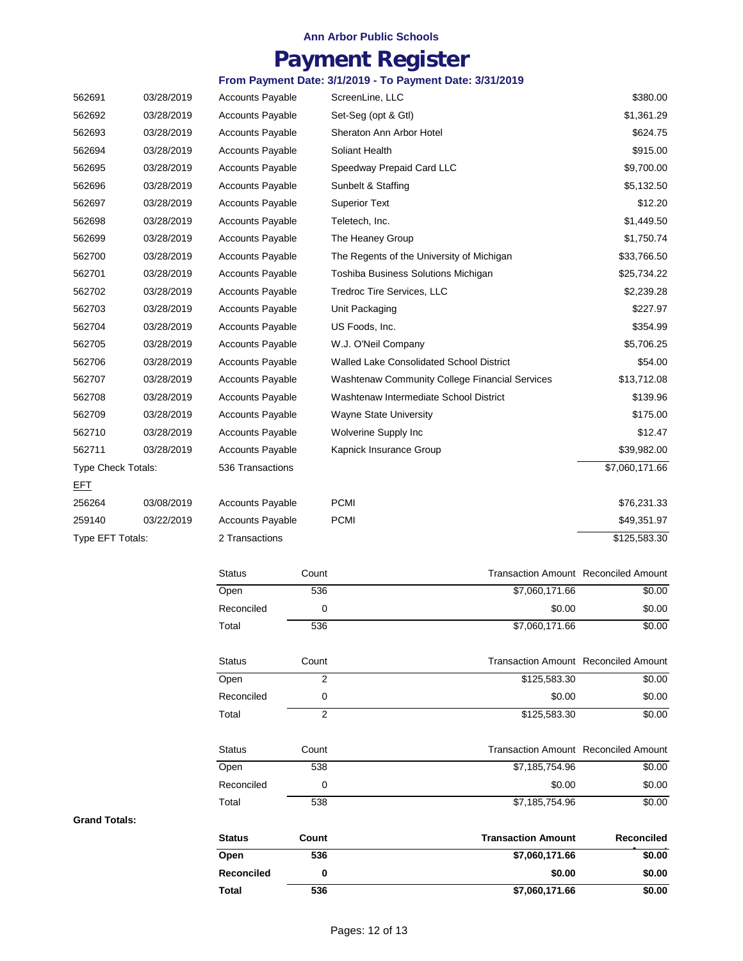# **Payment Register**

### **From Payment Date: 3/1/2019 - To Payment Date: 3/31/2019**

| 562691                    | 03/28/2019 | <b>Accounts Payable</b> | ScreenLine, LLC                                       | \$380.00       |
|---------------------------|------------|-------------------------|-------------------------------------------------------|----------------|
| 562692                    | 03/28/2019 | <b>Accounts Payable</b> | Set-Seg (opt & Gtl)                                   | \$1,361.29     |
| 562693                    | 03/28/2019 | <b>Accounts Payable</b> | Sheraton Ann Arbor Hotel                              | \$624.75       |
| 562694                    | 03/28/2019 | <b>Accounts Payable</b> | Soliant Health                                        | \$915.00       |
| 562695                    | 03/28/2019 | <b>Accounts Payable</b> | Speedway Prepaid Card LLC                             | \$9,700.00     |
| 562696                    | 03/28/2019 | <b>Accounts Payable</b> | Sunbelt & Staffing                                    | \$5,132.50     |
| 562697                    | 03/28/2019 | <b>Accounts Payable</b> | <b>Superior Text</b>                                  | \$12.20        |
| 562698                    | 03/28/2019 | <b>Accounts Payable</b> | Teletech, Inc.                                        | \$1,449.50     |
| 562699                    | 03/28/2019 | <b>Accounts Payable</b> | The Heaney Group                                      | \$1,750.74     |
| 562700                    | 03/28/2019 | <b>Accounts Payable</b> | The Regents of the University of Michigan             | \$33,766.50    |
| 562701                    | 03/28/2019 | <b>Accounts Payable</b> | Toshiba Business Solutions Michigan                   | \$25,734.22    |
| 562702                    | 03/28/2019 | <b>Accounts Payable</b> | Tredroc Tire Services, LLC                            | \$2,239.28     |
| 562703                    | 03/28/2019 | <b>Accounts Payable</b> | Unit Packaging                                        | \$227.97       |
| 562704                    | 03/28/2019 | <b>Accounts Payable</b> | US Foods, Inc.                                        | \$354.99       |
| 562705                    | 03/28/2019 | <b>Accounts Payable</b> | W.J. O'Neil Company                                   | \$5,706.25     |
| 562706                    | 03/28/2019 | <b>Accounts Payable</b> | Walled Lake Consolidated School District              | \$54.00        |
| 562707                    | 03/28/2019 | <b>Accounts Payable</b> | <b>Washtenaw Community College Financial Services</b> | \$13,712.08    |
| 562708                    | 03/28/2019 | <b>Accounts Payable</b> | Washtenaw Intermediate School District                | \$139.96       |
| 562709                    | 03/28/2019 | <b>Accounts Payable</b> | <b>Wayne State University</b>                         | \$175.00       |
| 562710                    | 03/28/2019 | <b>Accounts Payable</b> | Wolverine Supply Inc                                  | \$12.47        |
| 562711                    | 03/28/2019 | <b>Accounts Payable</b> | Kapnick Insurance Group                               | \$39,982.00    |
| <b>Type Check Totals:</b> |            | 536 Transactions        |                                                       | \$7,060,171.66 |
| EFT                       |            |                         |                                                       |                |
| 256264                    | 03/08/2019 | <b>Accounts Payable</b> | <b>PCMI</b>                                           | \$76,231.33    |
| 259140                    | 03/22/2019 | <b>Accounts Payable</b> | <b>PCMI</b>                                           | \$49,351.97    |
| Type EFT Totals:          |            | 2 Transactions          |                                                       | \$125,583.30   |

| Total             | 536            | \$7,060,171.66            | \$0.00                                      |
|-------------------|----------------|---------------------------|---------------------------------------------|
| <b>Reconciled</b> | 0              | \$0.00                    | \$0.00                                      |
| Open              | 536            | \$7,060,171.66            | \$0.00                                      |
| <b>Status</b>     | Count          | <b>Transaction Amount</b> | Reconciled                                  |
| Total             | 538            | \$7,185,754.96            | \$0.00                                      |
| Reconciled        | 0              | \$0.00                    | \$0.00                                      |
| Open              | 538            | \$7,185,754.96            | \$0.00                                      |
| <b>Status</b>     | Count          |                           | <b>Transaction Amount Reconciled Amount</b> |
| Total             | 2              | \$125,583.30              | \$0.00                                      |
| Reconciled        | 0              | \$0.00                    | \$0.00                                      |
| Open              | $\overline{2}$ | \$125,583.30              | \$0.00                                      |
| <b>Status</b>     | Count          |                           | <b>Transaction Amount Reconciled Amount</b> |
| Total             | 536            | \$7,060,171.66            | \$0.00                                      |
| Reconciled        | 0              | \$0.00                    | \$0.00                                      |
| Open              | 536            | \$7,060,171.66            | \$0.00                                      |
| <b>Status</b>     | Count          |                           | <b>Transaction Amount Reconciled Amount</b> |

#### **Grand Totals:**